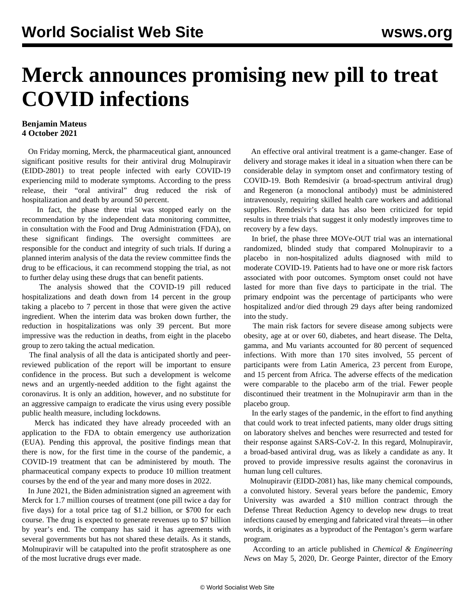## **Merck announces promising new pill to treat COVID infections**

## **Benjamin Mateus 4 October 2021**

 On Friday morning, Merck, the pharmaceutical giant, announced significant positive results for their antiviral drug Molnupiravir (EIDD-2801) to treat people infected with early COVID-19 experiencing mild to moderate symptoms. According to the press release, their "oral antiviral" drug reduced the risk of hospitalization and death by around 50 percent.

 In fact, the phase three trial was stopped early on the recommendation by the independent data monitoring committee, in consultation with the Food and Drug Administration (FDA), on these significant findings. The oversight committees are responsible for the conduct and integrity of such trials. If during a planned interim analysis of the data the review committee finds the drug to be efficacious, it can recommend stopping the trial, as not to further delay using these drugs that can benefit patients.

 The analysis showed that the COVID-19 pill reduced hospitalizations and death down from 14 percent in the group taking a placebo to 7 percent in those that were given the active ingredient. When the interim data was broken down further, the reduction in hospitalizations was only 39 percent. But more impressive was the reduction in deaths, from eight in the placebo group to zero taking the actual medication.

 The final analysis of all the data is anticipated shortly and peerreviewed publication of the report will be important to ensure confidence in the process. But such a development is welcome news and an urgently-needed addition to the fight against the coronavirus. It is only an addition, however, and no substitute for an aggressive campaign to eradicate the virus using every possible public health measure, including lockdowns.

 Merck has indicated they have already proceeded with an application to the FDA to obtain emergency use authorization (EUA). Pending this approval, the positive findings mean that there is now, for the first time in the course of the pandemic, a COVID-19 treatment that can be administered by mouth. The pharmaceutical company expects to produce 10 million treatment courses by the end of the year and many more doses in 2022.

 In June 2021, the Biden administration signed an agreement with Merck for 1.7 million courses of treatment (one pill twice a day for five days) for a total price tag of \$1.2 billion, or \$700 for each course. The drug is expected to generate revenues up to \$7 billion by year's end. The company has said it has agreements with several governments but has not shared these details. As it stands, Molnupiravir will be catapulted into the profit stratosphere as one of the most lucrative drugs ever made.

 An effective oral antiviral treatment is a game-changer. Ease of delivery and storage makes it ideal in a situation when there can be considerable delay in symptom onset and confirmatory testing of COVID-19. Both Remdesivir (a broad-spectrum antiviral drug) and Regeneron (a monoclonal antibody) must be administered intravenously, requiring skilled health care workers and additional supplies. Remdesivir's data has also been criticized for tepid results in three trials that suggest it only modestly improves time to recovery by a few days.

 In brief, the phase three MOVe-OUT trial was an international randomized, blinded study that compared Molnupiravir to a placebo in non-hospitalized adults diagnosed with mild to moderate COVID-19. Patients had to have one or more risk factors associated with poor outcomes. Symptom onset could not have lasted for more than five days to participate in the trial. The primary endpoint was the percentage of participants who were hospitalized and/or died through 29 days after being randomized into the study.

 The main risk factors for severe disease among subjects were obesity, age at or over 60, diabetes, and heart disease. The Delta, gamma, and Mu variants accounted for 80 percent of sequenced infections. With more than 170 sites involved, 55 percent of participants were from Latin America, 23 percent from Europe, and 15 percent from Africa. The adverse effects of the medication were comparable to the placebo arm of the trial. Fewer people discontinued their treatment in the Molnupiravir arm than in the placebo group.

 In the early stages of the pandemic, in the effort to find anything that could work to treat infected patients, many older drugs sitting on laboratory shelves and benches were resurrected and tested for their response against SARS-CoV-2. In this regard, Molnupiravir, a broad-based antiviral drug, was as likely a candidate as any. It proved to provide [impressive results](https://www.nature.com/articles/s41586-021-03312-w) against the coronavirus in human lung cell cultures.

 Molnupiravir (EIDD-2081) has, like many chemical compounds, a convoluted history. Several years before the pandemic, Emory University was awarded a \$10 million contract through the Defense Threat Reduction Agency to develop new drugs to treat infections caused by emerging and fabricated viral threats—in other words, it originates as a byproduct of the Pentagon's germ warfare program.

 According to an article published in *[Chemical & Engineering](https://cen.acs.org/pharmaceuticals/drug-development/emerging-antiviral-takes-aim-COVID-19/98/web/2020/05) [News](https://cen.acs.org/pharmaceuticals/drug-development/emerging-antiviral-takes-aim-COVID-19/98/web/2020/05)* on May 5, 2020, Dr. George Painter, director of the Emory